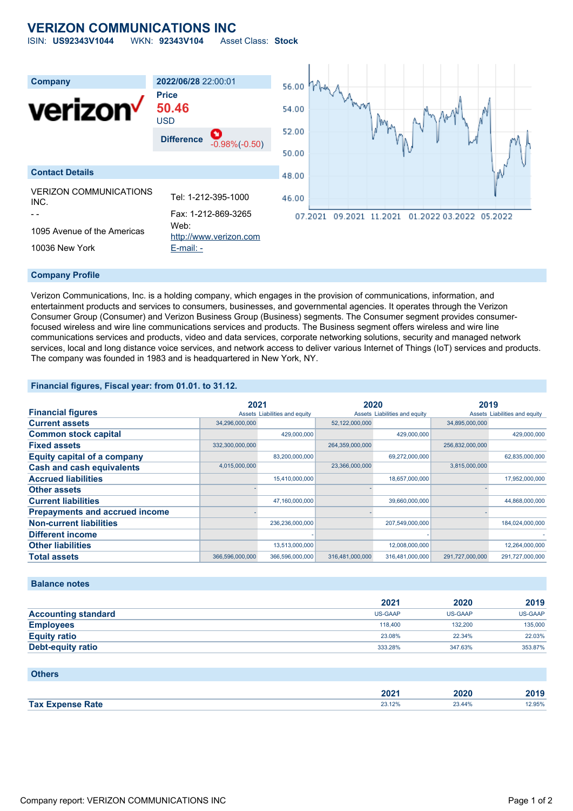## **VERIZON COMMUNICATIONS INC**

ISIN: **US92343V1044** WKN: **92343V104** Asset Class: **Stock**



#### **Company Profile**

Verizon Communications, Inc. is a holding company, which engages in the provision of communications, information, and entertainment products and services to consumers, businesses, and governmental agencies. It operates through the Verizon Consumer Group (Consumer) and Verizon Business Group (Business) segments. The Consumer segment provides consumerfocused wireless and wire line communications services and products. The Business segment offers wireless and wire line communications services and products, video and data services, corporate networking solutions, security and managed network services, local and long distance voice services, and network access to deliver various Internet of Things (IoT) services and products. The company was founded in 1983 and is headquartered in New York, NY.

#### **Financial figures, Fiscal year: from 01.01. to 31.12.**

|                                       | 2021            |                               | 2020            |                               | 2019            |                               |
|---------------------------------------|-----------------|-------------------------------|-----------------|-------------------------------|-----------------|-------------------------------|
| <b>Financial figures</b>              |                 | Assets Liabilities and equity |                 | Assets Liabilities and equity |                 | Assets Liabilities and equity |
| <b>Current assets</b>                 | 34,296,000,000  |                               | 52,122,000,000  |                               | 34,895,000,000  |                               |
| <b>Common stock capital</b>           |                 | 429.000.000                   |                 | 429,000,000                   |                 | 429,000,000                   |
| <b>Fixed assets</b>                   | 332,300,000,000 |                               | 264,359,000,000 |                               | 256,832,000,000 |                               |
| <b>Equity capital of a company</b>    |                 | 83,200,000,000                |                 | 69,272,000,000                |                 | 62,835,000,000                |
| <b>Cash and cash equivalents</b>      | 4,015,000,000   |                               | 23,366,000,000  |                               | 3,815,000,000   |                               |
| <b>Accrued liabilities</b>            |                 | 15,410,000,000                |                 | 18,657,000,000                |                 | 17,952,000,000                |
| <b>Other assets</b>                   |                 |                               |                 |                               |                 |                               |
| <b>Current liabilities</b>            |                 | 47,160,000,000                |                 | 39,660,000,000                |                 | 44,868,000,000                |
| <b>Prepayments and accrued income</b> |                 |                               |                 |                               |                 |                               |
| <b>Non-current liabilities</b>        |                 | 236,236,000,000               |                 | 207,549,000,000               |                 | 184,024,000,000               |
| <b>Different income</b>               |                 |                               |                 |                               |                 |                               |
| <b>Other liabilities</b>              |                 | 13,513,000,000                |                 | 12,008,000,000                |                 | 12,264,000,000                |
| <b>Total assets</b>                   | 366,596,000,000 | 366,596,000,000               | 316,481,000,000 | 316,481,000,000               | 291,727,000,000 | 291,727,000,000               |

#### **Balance notes**

|                            | 2021    | 2020    | 2019    |
|----------------------------|---------|---------|---------|
| <b>Accounting standard</b> | US-GAAP | US-GAAP | US-GAAP |
| <b>Employees</b>           | 118,400 | 132,200 | 135,000 |
| <b>Equity ratio</b>        | 23.08%  | 22.34%  | 22.03%  |
| Debt-equity ratio          | 333.28% | 347.63% | 353.87% |

#### **Others**

|                    | 2022<br>ZUZ '<br>---- | .<br>.uzu | ----<br>גמנ<br><b>ZO13</b> |
|--------------------|-----------------------|-----------|----------------------------|
| <b>Tax</b><br>Rate | 00.400<br>29.1270     | 23.44%    | 12.95%                     |